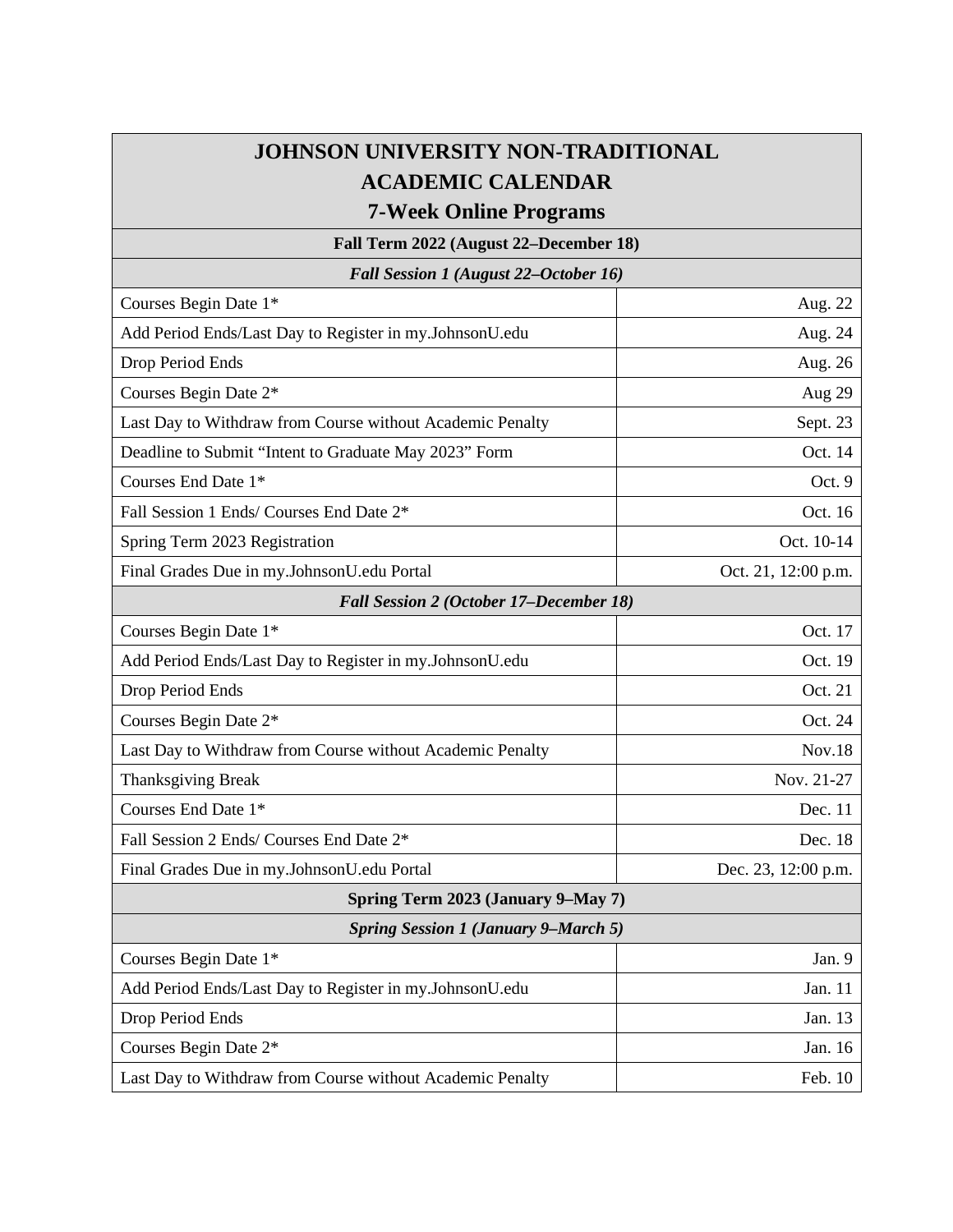## **JOHNSON UNIVERSITY NON-TRADITIONAL ACADEMIC CALENDAR**

**7-Week Online Programs**

**Fall Term 2022 (August 22–December 18)**

*Fall Session 1 (August 22–October 16)*

| Courses Begin Date 1*                                     | Aug. 22             |
|-----------------------------------------------------------|---------------------|
| Add Period Ends/Last Day to Register in my.JohnsonU.edu   | Aug. 24             |
|                                                           |                     |
| Drop Period Ends                                          | Aug. 26             |
| Courses Begin Date 2*                                     | Aug 29              |
| Last Day to Withdraw from Course without Academic Penalty | Sept. 23            |
| Deadline to Submit "Intent to Graduate May 2023" Form     | Oct. 14             |
| Courses End Date 1*                                       | Oct. 9              |
| Fall Session 1 Ends/ Courses End Date 2*                  | Oct. 16             |
| Spring Term 2023 Registration                             | Oct. 10-14          |
| Final Grades Due in my.JohnsonU.edu Portal                | Oct. 21, 12:00 p.m. |
| Fall Session 2 (October 17-December 18)                   |                     |
| Courses Begin Date 1*                                     | Oct. 17             |
| Add Period Ends/Last Day to Register in my.JohnsonU.edu   | Oct. 19             |
| Drop Period Ends                                          | Oct. 21             |
| Courses Begin Date 2*                                     | Oct. 24             |
| Last Day to Withdraw from Course without Academic Penalty | Nov.18              |
| Thanksgiving Break                                        | Nov. 21-27          |
| Courses End Date 1*                                       | Dec. 11             |
| Fall Session 2 Ends/ Courses End Date 2*                  | Dec. 18             |
| Final Grades Due in my.JohnsonU.edu Portal                | Dec. 23, 12:00 p.m. |
| Spring Term 2023 (January 9-May 7)                        |                     |
| <b>Spring Session 1 (January 9-March 5)</b>               |                     |
| Courses Begin Date 1*                                     | Jan. 9              |
| Add Period Ends/Last Day to Register in my.JohnsonU.edu   | Jan. 11             |
| Drop Period Ends                                          | Jan. 13             |
| Courses Begin Date 2*                                     | Jan. 16             |
| Last Day to Withdraw from Course without Academic Penalty | Feb. 10             |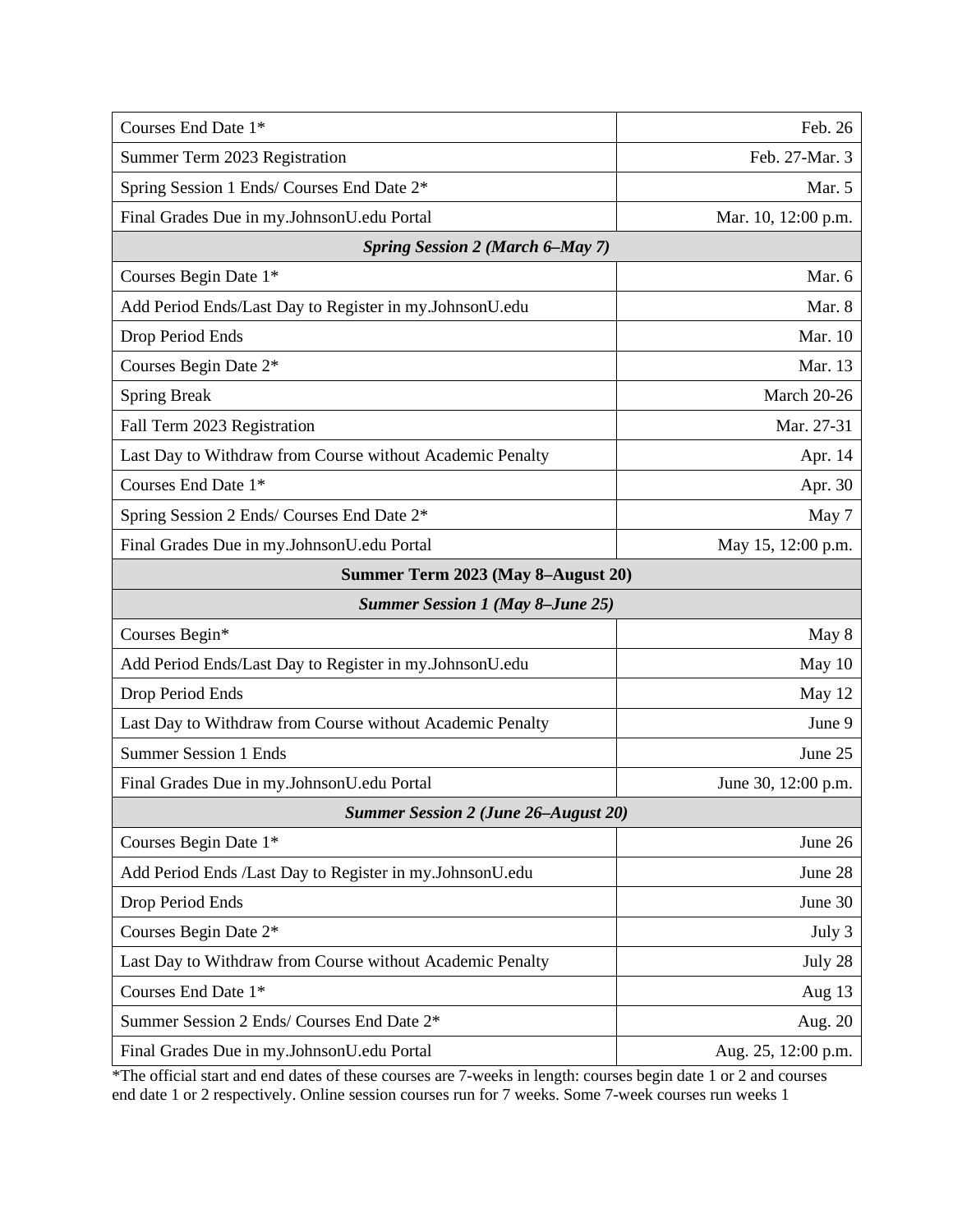| Courses End Date 1*                                       | Feb. 26             |
|-----------------------------------------------------------|---------------------|
| Summer Term 2023 Registration                             | Feb. 27-Mar. 3      |
| Spring Session 1 Ends/ Courses End Date 2*                | Mar. 5              |
| Final Grades Due in my.JohnsonU.edu Portal                | Mar. 10, 12:00 p.m. |
| <b>Spring Session 2 (March 6-May 7)</b>                   |                     |
| Courses Begin Date 1*                                     | Mar. 6              |
| Add Period Ends/Last Day to Register in my.JohnsonU.edu   | Mar. 8              |
| Drop Period Ends                                          | Mar. 10             |
| Courses Begin Date 2*                                     | Mar. 13             |
| <b>Spring Break</b>                                       | March 20-26         |
| Fall Term 2023 Registration                               | Mar. 27-31          |
| Last Day to Withdraw from Course without Academic Penalty | Apr. 14             |
| Courses End Date 1*                                       | Apr. 30             |
| Spring Session 2 Ends/ Courses End Date 2*                | May 7               |
| Final Grades Due in my.JohnsonU.edu Portal                | May 15, 12:00 p.m.  |
| Summer Term 2023 (May 8-August 20)                        |                     |
| <b>Summer Session 1 (May 8-June 25)</b>                   |                     |
| Courses Begin*                                            | May 8               |
| Add Period Ends/Last Day to Register in my.JohnsonU.edu   | May 10              |
| Drop Period Ends                                          | May 12              |
| Last Day to Withdraw from Course without Academic Penalty | June 9              |
| <b>Summer Session 1 Ends</b>                              | June 25             |
| Final Grades Due in my.JohnsonU.edu Portal                | June 30, 12:00 p.m. |
| <b>Summer Session 2 (June 26–August 20)</b>               |                     |
| Courses Begin Date 1*                                     | June 26             |
| Add Period Ends /Last Day to Register in my.JohnsonU.edu  | June 28             |
| Drop Period Ends                                          | June 30             |
| Courses Begin Date 2*                                     | July 3              |
|                                                           |                     |
| Last Day to Withdraw from Course without Academic Penalty | July 28             |
| Courses End Date 1*                                       | Aug 13              |
| Summer Session 2 Ends/ Courses End Date 2*                | Aug. 20             |

\*The official start and end dates of these courses are 7-weeks in length: courses begin date 1 or 2 and courses end date 1 or 2 respectively. Online session courses run for 7 weeks. Some 7-week courses run weeks 1